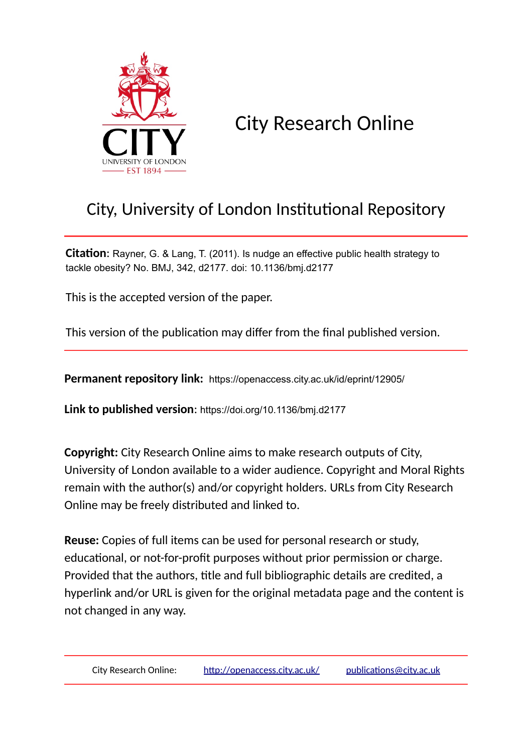

City Research Online

# City, University of London Institutional Repository

**Citation**: Rayner, G. & Lang, T. (2011). Is nudge an effective public health strategy to tackle obesity? No. BMJ, 342, d2177. doi: 10.1136/bmj.d2177

This is the accepted version of the paper.

This version of the publication may differ from the final published version.

**Permanent repository link:** https://openaccess.city.ac.uk/id/eprint/12905/

**Link to published version**: https://doi.org/10.1136/bmj.d2177

**Copyright:** City Research Online aims to make research outputs of City, University of London available to a wider audience. Copyright and Moral Rights remain with the author(s) and/or copyright holders. URLs from City Research Online may be freely distributed and linked to.

**Reuse:** Copies of full items can be used for personal research or study, educational, or not-for-profit purposes without prior permission or charge. Provided that the authors, title and full bibliographic details are credited, a hyperlink and/or URL is given for the original metadata page and the content is not changed in any way.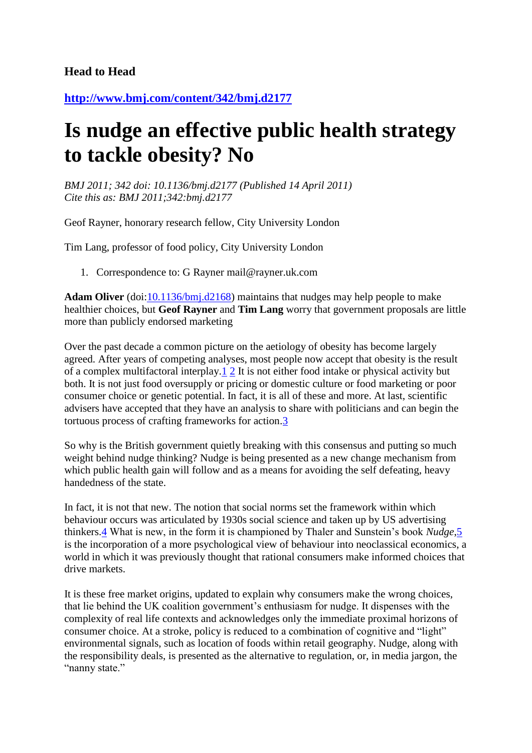### **Head to Head**

### **<http://www.bmj.com/content/342/bmj.d2177>**

# **Is nudge an effective public health strategy to tackle obesity? No**

*BMJ 2011; 342 doi: 10.1136/bmj.d2177 (Published 14 April 2011) Cite this as: BMJ 2011;342:bmj.d2177* 

Geof Rayner, honorary research fellow, City University London

Tim Lang, professor of food policy, City University London

1. Correspondence to: G Rayner mail@rayner.uk.com

**Adam Oliver** (doi[:10.1136/bmj.d2168\)](http://www.bmj.com/lookup/doi/10.1136/bmj.d2168) maintains that nudges may help people to make healthier choices, but **Geof Rayner** and **Tim Lang** worry that government proposals are little more than publicly endorsed marketing

Over the past decade a common picture on the aetiology of obesity has become largely agreed. After years of competing analyses, most people now accept that obesity is the result of a complex multifactoral interplay[.1](http://www.bmj.com/content/342/bmj.d2177#ref-1) [2](http://www.bmj.com/content/342/bmj.d2177#ref-2) It is not either food intake or physical activity but both. It is not just food oversupply or pricing or domestic culture or food marketing or poor consumer choice or genetic potential. In fact, it is all of these and more. At last, scientific advisers have accepted that they have an analysis to share with politicians and can begin the tortuous process of crafting frameworks for action[.3](http://www.bmj.com/content/342/bmj.d2177#ref-3)

So why is the British government quietly breaking with this consensus and putting so much weight behind nudge thinking? Nudge is being presented as a new change mechanism from which public health gain will follow and as a means for avoiding the self defeating, heavy handedness of the state.

In fact, it is not that new. The notion that social norms set the framework within which behaviour occurs was articulated by 1930s social science and taken up by US advertising thinkers[.4](http://www.bmj.com/content/342/bmj.d2177#ref-4) What is new, in the form it is championed by Thaler and Sunstein's book *Nudge*[,5](http://www.bmj.com/content/342/bmj.d2177#ref-5) is the incorporation of a more psychological view of behaviour into neoclassical economics, a world in which it was previously thought that rational consumers make informed choices that drive markets.

It is these free market origins, updated to explain why consumers make the wrong choices, that lie behind the UK coalition government's enthusiasm for nudge. It dispenses with the complexity of real life contexts and acknowledges only the immediate proximal horizons of consumer choice. At a stroke, policy is reduced to a combination of cognitive and "light" environmental signals, such as location of foods within retail geography. Nudge, along with the responsibility deals, is presented as the alternative to regulation, or, in media jargon, the "nanny state."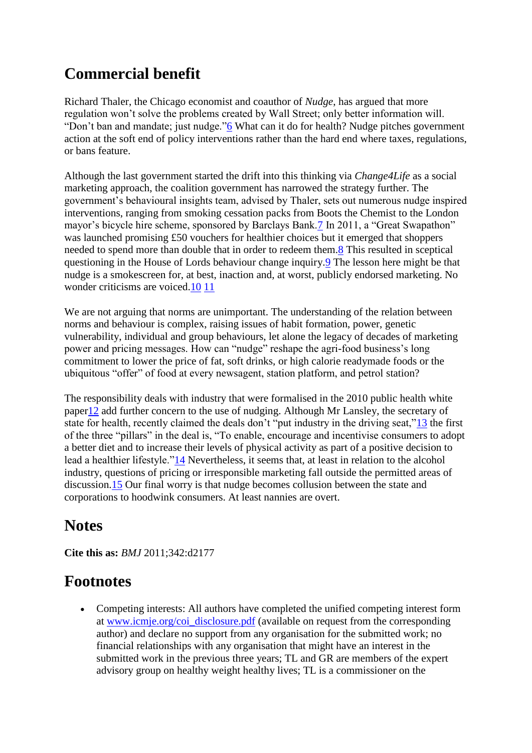# **Commercial benefit**

Richard Thaler, the Chicago economist and coauthor of *Nudge*, has argued that more regulation won't solve the problems created by Wall Street; only better information will. "Don't ban and mandate; just nudge.["6](http://www.bmj.com/content/342/bmj.d2177#ref-6) What can it do for health? Nudge pitches government action at the soft end of policy interventions rather than the hard end where taxes, regulations, or bans feature.

Although the last government started the drift into this thinking via *Change4Life* as a social marketing approach, the coalition government has narrowed the strategy further. The government's behavioural insights team, advised by Thaler, sets out numerous nudge inspired interventions, ranging from smoking cessation packs from Boots the Chemist to the London mayor's bicycle hire scheme, sponsored by Barclays Bank[.7](http://www.bmj.com/content/342/bmj.d2177#ref-7) In 2011, a "Great Swapathon" was launched promising £50 vouchers for healthier choices but it emerged that shoppers needed to spend more than double that in order to redeem them[.8](http://www.bmj.com/content/342/bmj.d2177#ref-8) This resulted in sceptical questioning in the House of Lords behaviour change inquiry[.9](http://www.bmj.com/content/342/bmj.d2177#ref-9) The lesson here might be that nudge is a smokescreen for, at best, inaction and, at worst, publicly endorsed marketing. No wonder criticisms are voiced[.10](http://www.bmj.com/content/342/bmj.d2177#ref-10) [11](http://www.bmj.com/content/342/bmj.d2177#ref-11)

We are not arguing that norms are unimportant. The understanding of the relation between norms and behaviour is complex, raising issues of habit formation, power, genetic vulnerability, individual and group behaviours, let alone the legacy of decades of marketing power and pricing messages. How can "nudge" reshape the agri-food business's long commitment to lower the price of fat, soft drinks, or high calorie readymade foods or the ubiquitous "offer" of food at every newsagent, station platform, and petrol station?

The responsibility deals with industry that were formalised in the 2010 public health white pape[r12](http://www.bmj.com/content/342/bmj.d2177#ref-12) add further concern to the use of nudging. Although Mr Lansley, the secretary of state for health, recently claimed the deals don't "put industry in the driving seat,["13](http://www.bmj.com/content/342/bmj.d2177#ref-13) the first of the three "pillars" in the deal is, "To enable, encourage and incentivise consumers to adopt a better diet and to increase their levels of physical activity as part of a positive decision to lead a healthier lifestyle.["14](http://www.bmj.com/content/342/bmj.d2177#ref-14) Nevertheless, it seems that, at least in relation to the alcohol industry, questions of pricing or irresponsible marketing fall outside the permitted areas of discussion[.15](http://www.bmj.com/content/342/bmj.d2177#ref-15) Our final worry is that nudge becomes collusion between the state and corporations to hoodwink consumers. At least nannies are overt.

# **Notes**

**Cite this as:** *BMJ* 2011;342:d2177

### **Footnotes**

 Competing interests: All authors have completed the unified competing interest form at [www.icmje.org/coi\\_disclosure.pdf](http://www.icmje.org/coi_disclosure.pdf) (available on request from the corresponding author) and declare no support from any organisation for the submitted work; no financial relationships with any organisation that might have an interest in the submitted work in the previous three years; TL and GR are members of the expert advisory group on healthy weight healthy lives; TL is a commissioner on the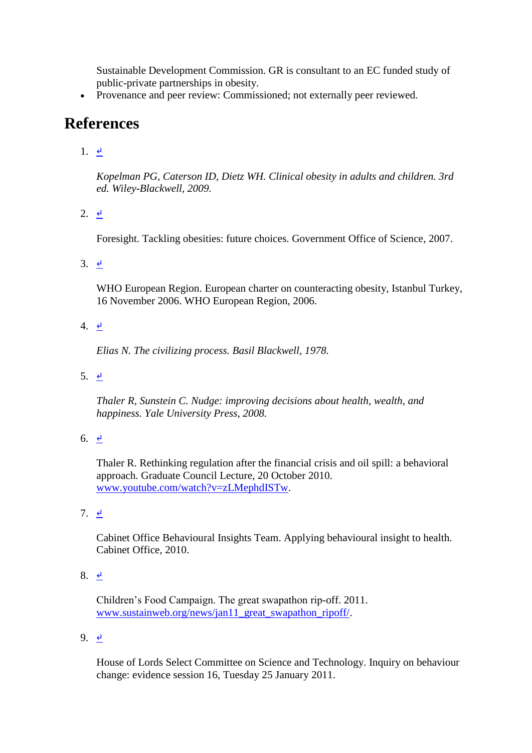Sustainable Development Commission. GR is consultant to an EC funded study of public-private partnerships in obesity.

• Provenance and peer review: Commissioned: not externally peer reviewed.

### **References**

1.  $\theta$ 

*Kopelman PG, Caterson ID, Dietz WH. Clinical obesity in adults and children. 3rd ed. Wiley-Blackwell, 2009.*

2.  $\theta$ 

Foresight. Tackling obesities: future choices. Government Office of Science, 2007.

3.  $\theta$ 

WHO European Region. European charter on counteracting obesity, Istanbul Turkey, 16 November 2006. WHO European Region, 2006.

4.  $\frac{d}{2}$ 

*Elias N. The civilizing process. Basil Blackwell, 1978.*

5. [↵](http://www.bmj.com/content/342/bmj.d2177#xref-ref-5-1)

*Thaler R, Sunstein C. Nudge: improving decisions about health, wealth, and happiness. Yale University Press, 2008.*

6.  $\theta$ 

Thaler R. Rethinking regulation after the financial crisis and oil spill: a behavioral approach. Graduate Council Lecture, 20 October 2010. [www.youtube.com/watch?v=zLMephdISTw.](http://www.youtube.com/watch?v=zLMephdISTw)

7.  $\leq$ 

Cabinet Office Behavioural Insights Team. Applying behavioural insight to health. Cabinet Office, 2010.

8. [↵](http://www.bmj.com/content/342/bmj.d2177#xref-ref-8-1)

Children's Food Campaign. The great swapathon rip-off. 2011. [www.sustainweb.org/news/jan11\\_great\\_swapathon\\_ripoff/.](http://www.sustainweb.org/news/jan11_great_swapathon_ripoff/)

9. [↵](http://www.bmj.com/content/342/bmj.d2177#xref-ref-9-1)

House of Lords Select Committee on Science and Technology. Inquiry on behaviour change: evidence session 16, Tuesday 25 January 2011.